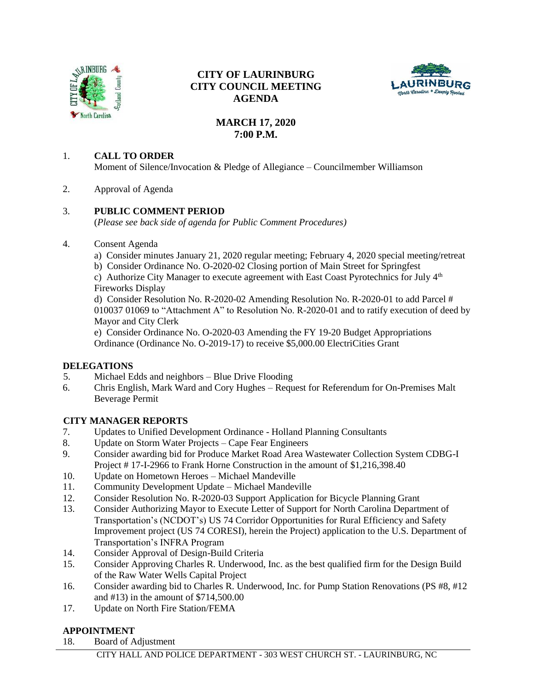

## **CITY OF LAURINBURG CITY COUNCIL MEETING AGENDA**



# **MARCH 17, 2020 7:00 P.M.**

#### 1. **CALL TO ORDER**

Moment of Silence/Invocation & Pledge of Allegiance – Councilmember Williamson

2. Approval of Agenda

## 3. **PUBLIC COMMENT PERIOD**

(*Please see back side of agenda for Public Comment Procedures)*

#### 4. Consent Agenda

- a) Consider minutes January 21, 2020 regular meeting; February 4, 2020 special meeting/retreat
- b) Consider Ordinance No. O-2020-02 Closing portion of Main Street for Springfest

c) Authorize City Manager to execute agreement with East Coast Pyrotechnics for July  $4<sup>th</sup>$ Fireworks Display

d) Consider Resolution No. R-2020-02 Amending Resolution No. R-2020-01 to add Parcel # 010037 01069 to "Attachment A" to Resolution No. R-2020-01 and to ratify execution of deed by Mayor and City Clerk

e) Consider Ordinance No. O-2020-03 Amending the FY 19-20 Budget Appropriations Ordinance (Ordinance No. O-2019-17) to receive \$5,000.00 ElectriCities Grant

## **DELEGATIONS**

- 5. Michael Edds and neighbors Blue Drive Flooding
- 6. Chris English, Mark Ward and Cory Hughes Request for Referendum for On-Premises Malt Beverage Permit

## **CITY MANAGER REPORTS**

- 7. Updates to Unified Development Ordinance Holland Planning Consultants
- 8. Update on Storm Water Projects Cape Fear Engineers
- 9. Consider awarding bid for Produce Market Road Area Wastewater Collection System CDBG-I Project # 17-I-2966 to Frank Horne Construction in the amount of \$1,216,398.40
- 10. Update on Hometown Heroes Michael Mandeville
- 11. Community Development Update Michael Mandeville
- 12. Consider Resolution No. R-2020-03 Support Application for Bicycle Planning Grant
- 13. Consider Authorizing Mayor to Execute Letter of Support for North Carolina Department of Transportation's (NCDOT's) US 74 Corridor Opportunities for Rural Efficiency and Safety Improvement project (US 74 CORESI), herein the Project) application to the U.S. Department of Transportation's INFRA Program
- 14. Consider Approval of Design-Build Criteria
- 15. Consider Approving Charles R. Underwood, Inc. as the best qualified firm for the Design Build of the Raw Water Wells Capital Project
- 16. Consider awarding bid to Charles R. Underwood, Inc. for Pump Station Renovations (PS #8, #12 and #13) in the amount of \$714,500.00
- 17. Update on North Fire Station/FEMA

## **APPOINTMENT**

18. Board of Adjustment